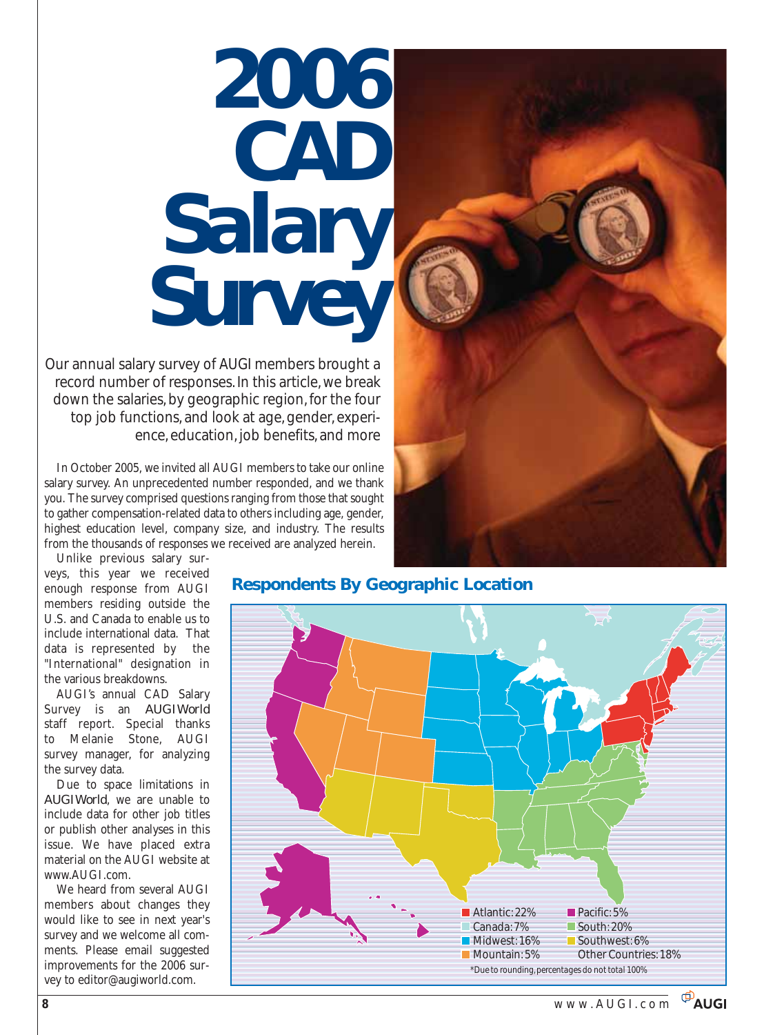# *2006 CAD Salary Survey*

Our annual salary survey of AUGI members brought a record number of responses. In this article, we break down the salaries, by geographic region, for the four top job functions, and look at age, gender, experience, education, job benefits, and more

In October 2005, we invited all AUGI members to take our online salary survey. An unprecedented number responded, and we thank you. The survey comprised questions ranging from those that sought to gather compensation-related data to others including age, gender, highest education level, company size, and industry. The results from the thousands of responses we received are analyzed herein.



Unlike previous salary surveys, this year we received enough response from AUGI members residing outside the U.S. and Canada to enable us to include international data. That data is represented by the "International" designation in the various breakdowns.

AUGI's annual CAD Salary Survey is an *AUGIWorld* staff report. Special thanks to Melanie Stone, AUGI survey manager, for analyzing the survey data.

Due to space limitations in *AUGIWorld*, we are unable to include data for other job titles or publish other analyses in this issue. We have placed extra material on the AUGI website at www.AUGI.com.

We heard from several AUGI members about changes they would like to see in next year's survey and we welcome all comments. Please email suggested improvements for the 2006 survey to editor@augiworld.com.

## **Respondents By Geographic Location**

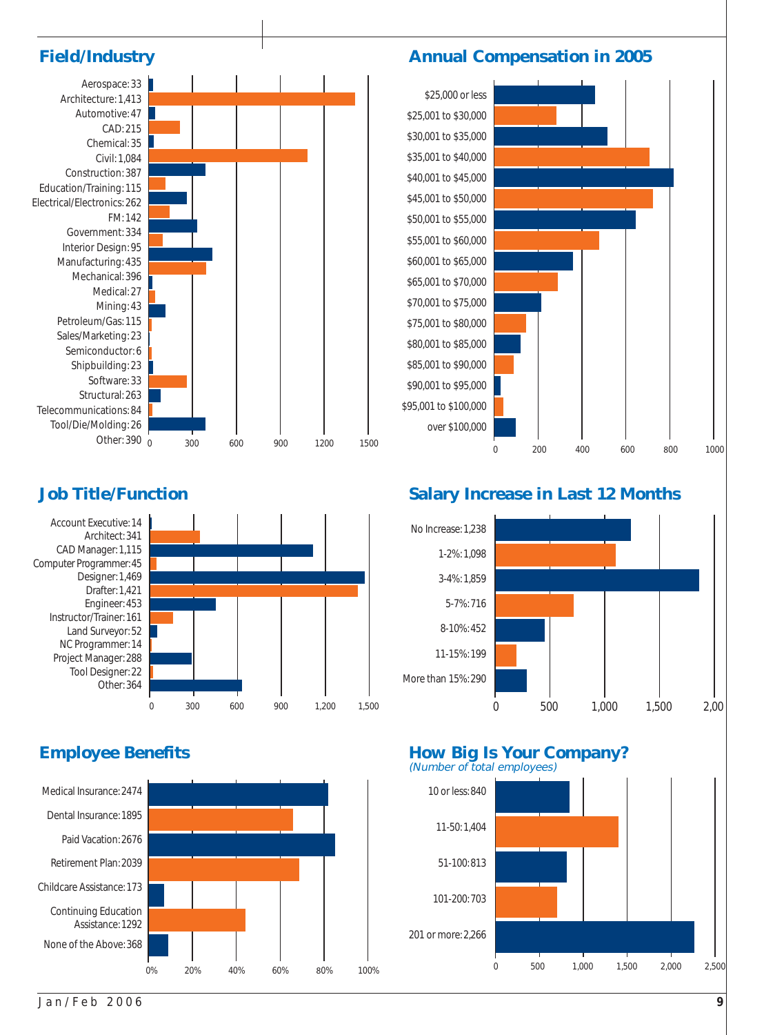



## **Job Title/Function**





## **Annual Compensation in 2005**



## **Salary Increase in Last 12 Months**



# **Employee Benefits How Big Is Your Company?**

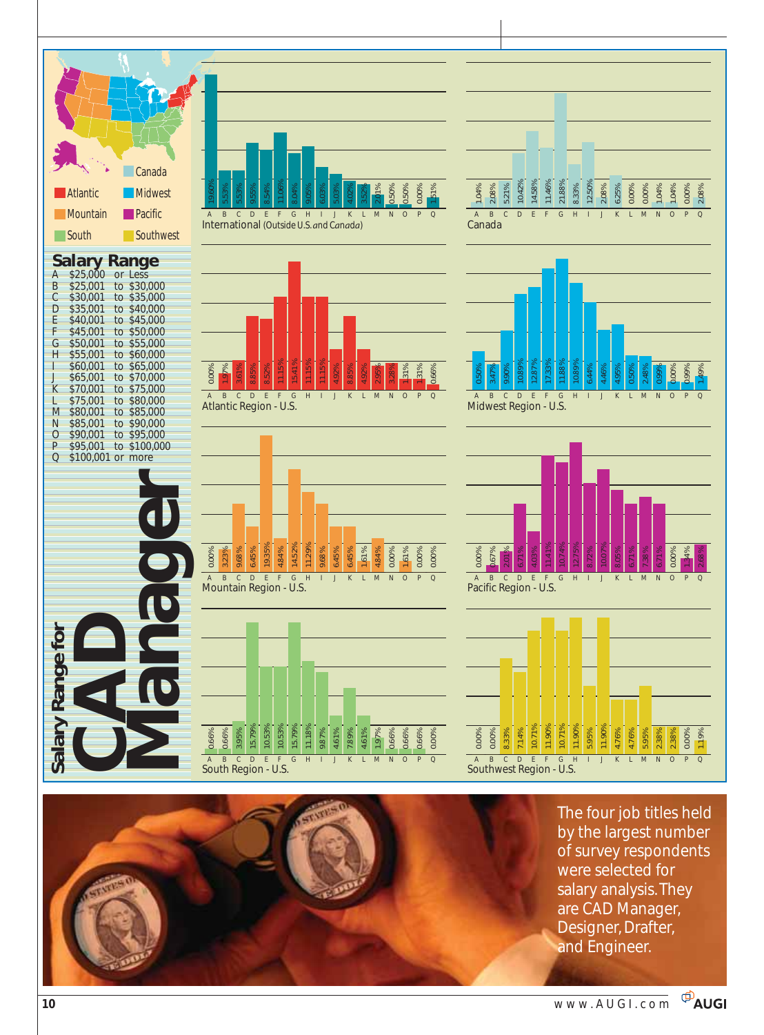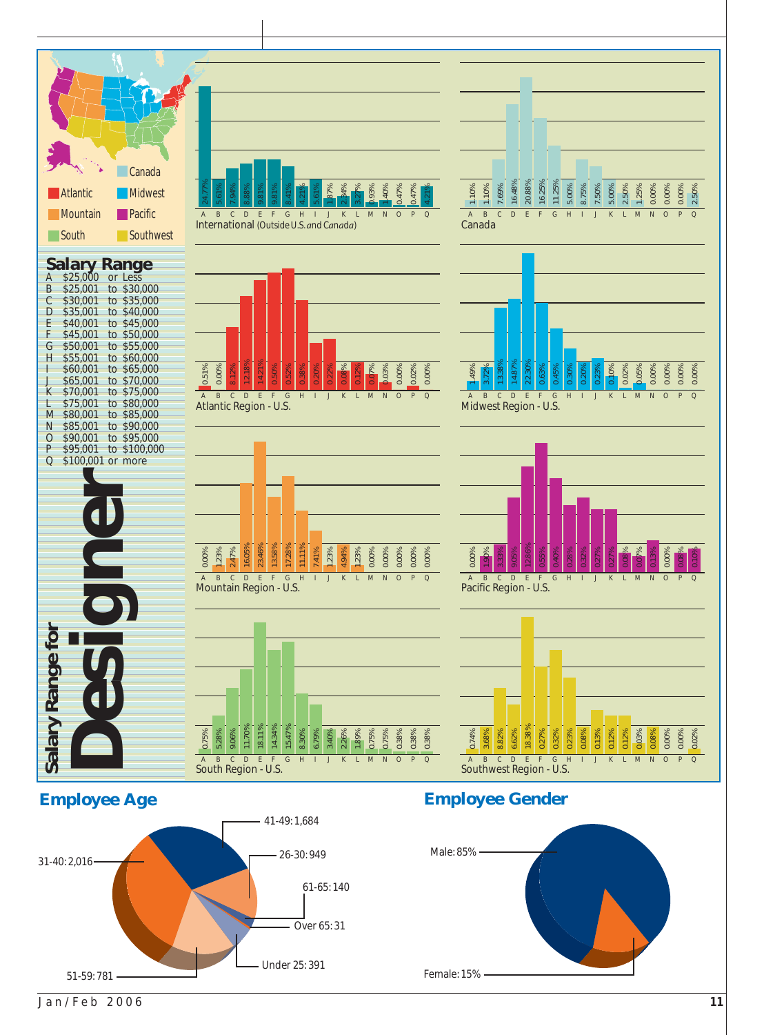

Jan/Feb 2006 **11**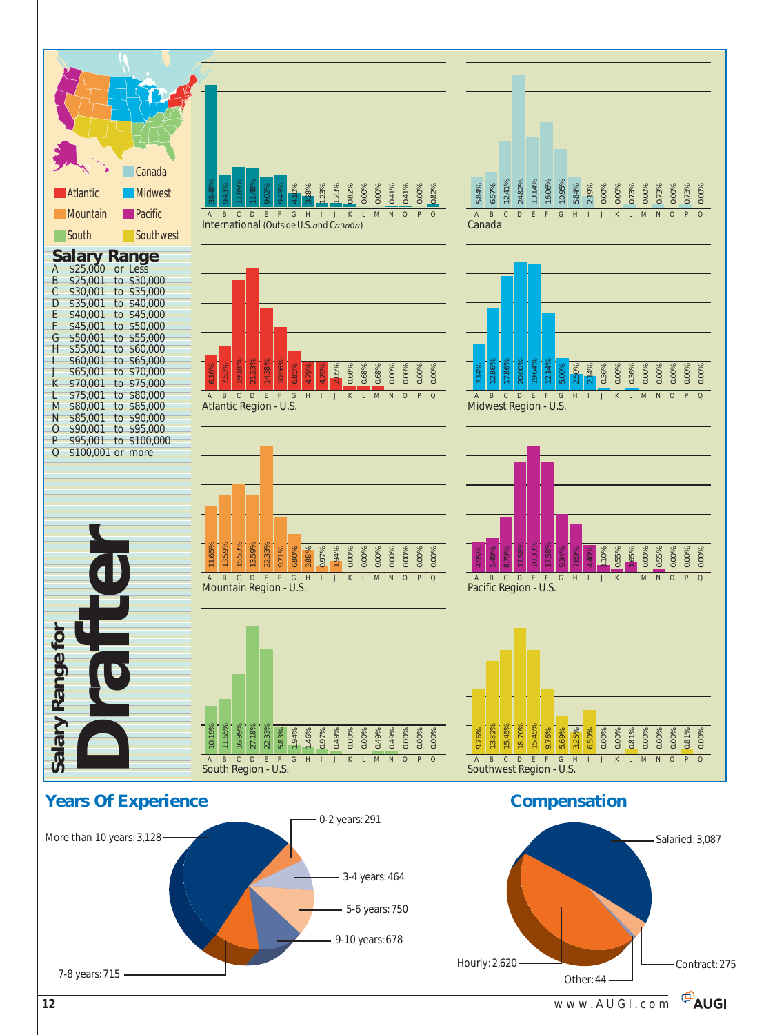

**E**AUGI